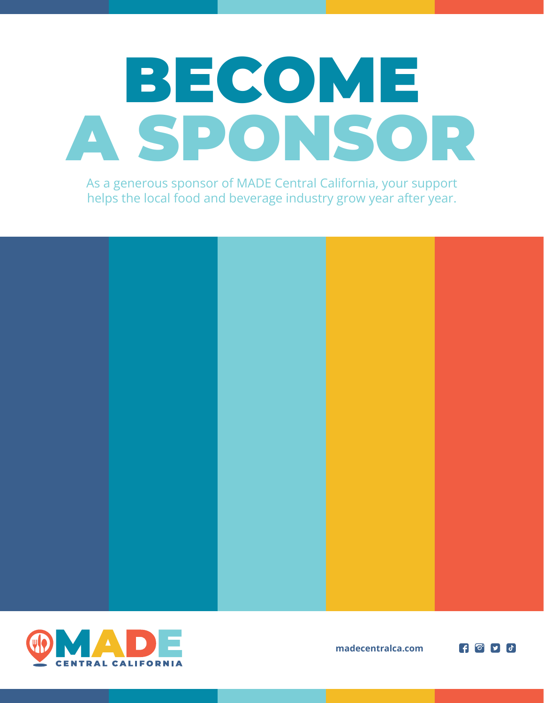# BECOME A SPONSOR

As a generous sponsor of MADE Central California, your support helps the local food and beverage industry grow year after year.





**madecentralca.com**

 $\bullet$   $\bullet$   $\bullet$   $\bullet$   $\bullet$   $\bullet$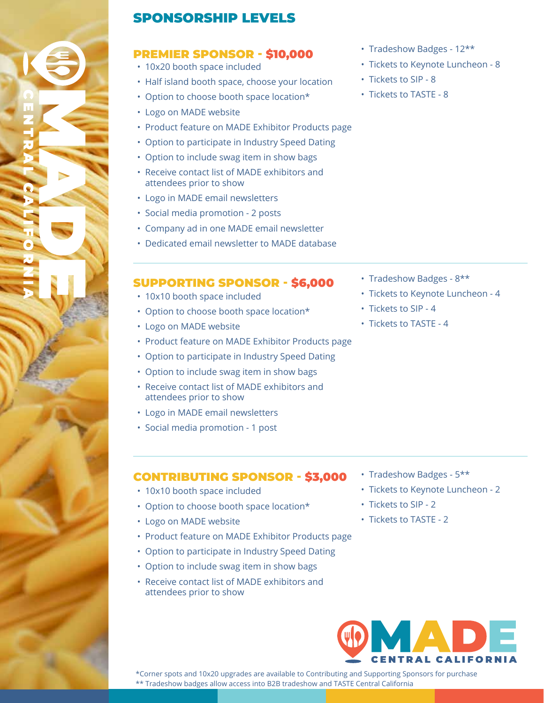

#### SPONSORSHIP LEVELS

#### PREMIER SPONSOR - \$10,000

- 10x20 booth space included
- Half island booth space, choose your location
- Option to choose booth space location\*
- Logo on MADE website
- Product feature on MADE Exhibitor Products page
- Option to participate in Industry Speed Dating
- Option to include swag item in show bags
- Receive contact list of MADE exhibitors and attendees prior to show
- Logo in MADE email newsletters
- Social media promotion 2 posts
- Company ad in one MADE email newsletter
- Dedicated email newsletter to MADE database

#### SUPPORTING SPONSOR - \$6,000

- 10x10 booth space included
- Option to choose booth space location\*
- Logo on MADE website
- Product feature on MADE Exhibitor Products page
- Option to participate in Industry Speed Dating
- Option to include swag item in show bags
- Receive contact list of MADE exhibitors and attendees prior to show
- Logo in MADE email newsletters
- Social media promotion 1 post
- Tradeshow Badges 12\*\*
- Tickets to Keynote Luncheon 8
- Tickets to SIP 8
- Tickets to TASTE 8

- Tradeshow Badges 8\*\*
- Tickets to Keynote Luncheon 4
- Tickets to SIP 4
- Tickets to TASTE 4

- CONTRIBUTING SPONSOR \$3,000
- 10x10 booth space included
- Option to choose booth space location\*
- Logo on MADE website
- Product feature on MADE Exhibitor Products page
- Option to participate in Industry Speed Dating
- Option to include swag item in show bags
- Receive contact list of MADE exhibitors and attendees prior to show
- Tradeshow Badges 5\*\*
- Tickets to Keynote Luncheon 2
- Tickets to SIP 2
- Tickets to TASTE 2



\*Corner spots and 10x20 upgrades are available to Contributing and Supporting Sponsors for purchase \*\* Tradeshow badges allow access into B2B tradeshow and TASTE Central California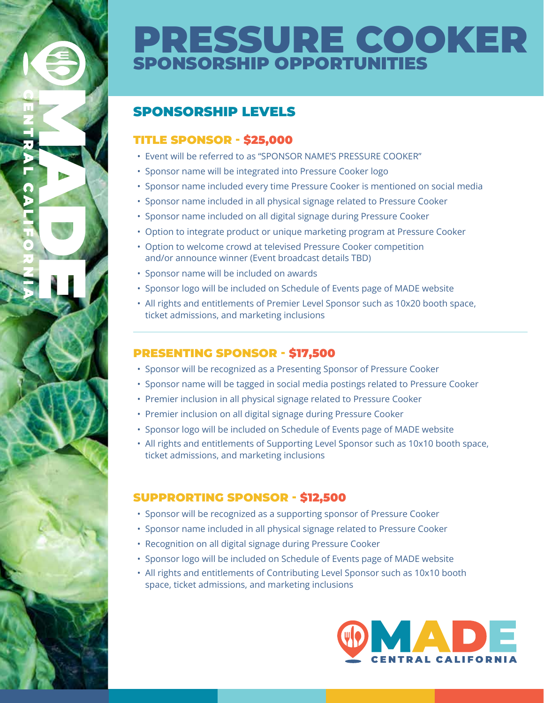## PRESSURE COOKER SPONSORSHIP OPPORTUNITIES

#### SPONSORSHIP LEVELS

#### TITLE SPONSOR - \$25,000

- Event will be referred to as "SPONSOR NAME'S PRESSURE COOKER"
- Sponsor name will be integrated into Pressure Cooker logo
- Sponsor name included every time Pressure Cooker is mentioned on social media
- Sponsor name included in all physical signage related to Pressure Cooker
- Sponsor name included on all digital signage during Pressure Cooker
- Option to integrate product or unique marketing program at Pressure Cooker
- Option to welcome crowd at televised Pressure Cooker competition and/or announce winner (Event broadcast details TBD)
- Sponsor name will be included on awards
- Sponsor logo will be included on Schedule of Events page of MADE website
- All rights and entitlements of Premier Level Sponsor such as 10x20 booth space, ticket admissions, and marketing inclusions

#### PRESENTING SPONSOR - \$17,500

- Sponsor will be recognized as a Presenting Sponsor of Pressure Cooker
- Sponsor name will be tagged in social media postings related to Pressure Cooker
- Premier inclusion in all physical signage related to Pressure Cooker
- Premier inclusion on all digital signage during Pressure Cooker
- Sponsor logo will be included on Schedule of Events page of MADE website
- All rights and entitlements of Supporting Level Sponsor such as 10x10 booth space, ticket admissions, and marketing inclusions

#### SUPPRORTING SPONSOR - \$12,500

- Sponsor will be recognized as a supporting sponsor of Pressure Cooker
- Sponsor name included in all physical signage related to Pressure Cooker
- Recognition on all digital signage during Pressure Cooker
- Sponsor logo will be included on Schedule of Events page of MADE website
- All rights and entitlements of Contributing Level Sponsor such as 10x10 booth space, ticket admissions, and marketing inclusions

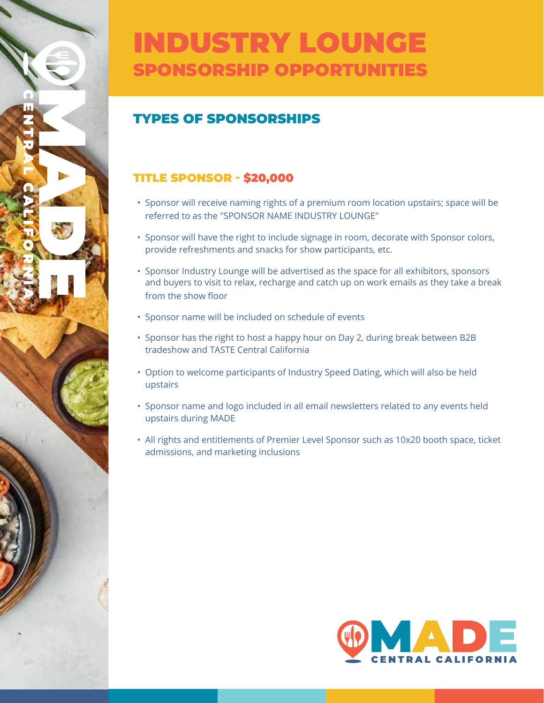## INDUSTRY LOUNGE SPONSORSHIP OPPORTUNITIES

#### TYPES OF SPONSORSHIPS

#### TITLE SPONSOR - \$20,000

- Sponsor will receive naming rights of a premium room location upstairs; space will be referred to as the "SPONSOR NAME INDUSTRY LOUNGE"
- Sponsor will have the right to include signage in room, decorate with Sponsor colors, provide refreshments and snacks for show participants, etc.
- Sponsor Industry Lounge will be advertised as the space for all exhibitors, sponsors and buyers to visit to relax, recharge and catch up on work emails as they take a break from the show floor
- Sponsor name will be included on schedule of events
- Sponsor has the right to host a happy hour on Day 2, during break between B2B tradeshow and TASTE Central California
- Option to welcome participants of Industry Speed Dating, which will also be held upstairs
- Sponsor name and logo included in all email newsletters related to any events held upstairs during MADE
- All rights and entitlements of Premier Level Sponsor such as 10x20 booth space, ticket admissions, and marketing inclusions

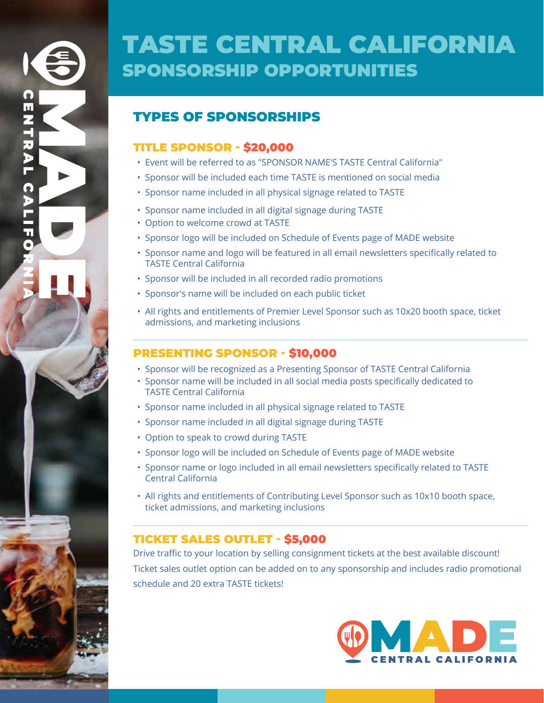## TASTE CENTRAL CALIFORNIA SPONSORSHIP OPPORTUNITIES

#### TYPES OF SPONSORSHIPS

#### TITLE SPONSOR - \$20,000

- Event will be referred to as "SPONSOR NAME'S TASTE Central California"
- Sponsor will be included each time TASTE is mentioned on social media
- Sponsor name included in all physical signage related to TASTE
- Sponsor name included in all digital signage during TASTE
- Option to welcome crowd at TASTE
- Sponsor logo will be included on Schedule of Events page of MADE website
- Sponsor name and logo will be featured in all email newsletters specifically related to TASTE Central California
- Sponsor will be included in all recorded radio promotions
- Sponsor's name will be included on each public ticket
- All rights and entitlements of Premier Level Sponsor such as 10x20 booth space, ticket admissions, and marketing inclusions

#### PRESENTING SPONSOR - \$10,000

- Sponsor will be recognized as a Presenting Sponsor of TASTE Central California
- Sponsor name will be included in all social media posts specifically dedicated to TASTE Central California
- Sponsor name included in all physical signage related to TASTE
- Sponsor name included in all digital signage during TASTE
- Option to speak to crowd during TASTE
- Sponsor logo will be included on Schedule of Events page of MADE website
- Sponsor name or logo included in all email newsletters specifically related to TASTE Central California
- All rights and entitlements of Contributing Level Sponsor such as 10x10 booth space, ticket admissions, and marketing inclusions

#### TICKET SALES OUTLET - \$5,000

Drive traffic to your location by selling consignment tickets at the best available discount! Ticket sales outlet option can be added on to any sponsorship and includes radio promotional schedule and 20 extra TASTE tickets!